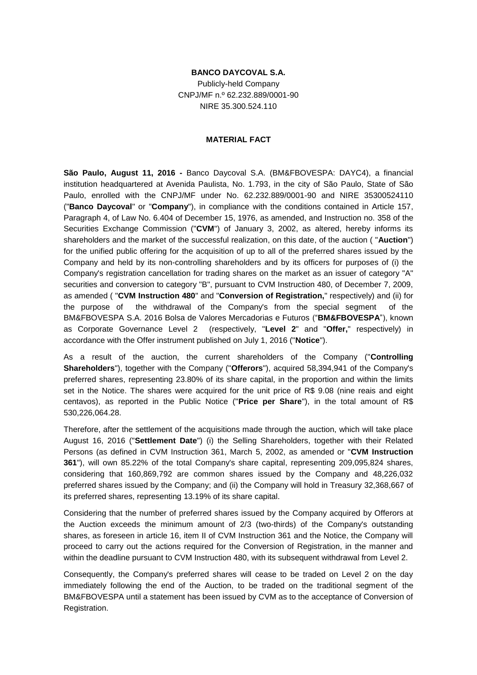## **BANCO DAYCOVAL S.A.**

Publicly-held Company CNPJ/MF n.º 62.232.889/0001-90 NIRE 35.300.524.110

## **MATERIAL FACT**

**São Paulo, August 11, 2016 -** Banco Daycoval S.A. (BM&FBOVESPA: DAYC4), a financial institution headquartered at Avenida Paulista, No. 1.793, in the city of São Paulo, State of São Paulo, enrolled with the CNPJ/MF under No. 62.232.889/0001-90 and NIRE 35300524110 ("**Banco Daycoval**" or "**Company**"), in compliance with the conditions contained in Article 157, Paragraph 4, of Law No. 6.404 of December 15, 1976, as amended, and Instruction no. 358 of the Securities Exchange Commission ("**CVM**") of January 3, 2002, as altered, hereby informs its shareholders and the market of the successful realization, on this date, of the auction ( "**Auction**") for the unified public offering for the acquisition of up to all of the preferred shares issued by the Company and held by its non-controlling shareholders and by its officers for purposes of (i) the Company's registration cancellation for trading shares on the market as an issuer of category "A" securities and conversion to category "B", pursuant to CVM Instruction 480, of December 7, 2009, as amended ( "**CVM Instruction 480**" and "**Conversion of Registration,**" respectively) and (ii) for the purpose of the withdrawal of the Company's from the special segment of the BM&FBOVESPA S.A. 2016 Bolsa de Valores Mercadorias e Futuros ("**BM&FBOVESPA**"), known as Corporate Governance Level 2 (respectively, "**Level 2**" and "**Offer,**" respectively) in accordance with the Offer instrument published on July 1, 2016 ("**Notice**").

As a result of the auction, the current shareholders of the Company ("**Controlling Shareholders**"), together with the Company ("**Offerors**"), acquired 58,394,941 of the Company's preferred shares, representing 23.80% of its share capital, in the proportion and within the limits set in the Notice. The shares were acquired for the unit price of R\$ 9.08 (nine reais and eight centavos), as reported in the Public Notice ("**Price per Share**"), in the total amount of R\$ 530,226,064.28.

Therefore, after the settlement of the acquisitions made through the auction, which will take place August 16, 2016 ("**Settlement Date**") (i) the Selling Shareholders, together with their Related Persons (as defined in CVM Instruction 361, March 5, 2002, as amended or "**CVM Instruction 361**"), will own 85.22% of the total Company's share capital, representing 209,095,824 shares, considering that 160,869,792 are common shares issued by the Company and 48,226,032 preferred shares issued by the Company; and (ii) the Company will hold in Treasury 32,368,667 of its preferred shares, representing 13.19% of its share capital.

Considering that the number of preferred shares issued by the Company acquired by Offerors at the Auction exceeds the minimum amount of 2/3 (two-thirds) of the Company's outstanding shares, as foreseen in article 16, item II of CVM Instruction 361 and the Notice, the Company will proceed to carry out the actions required for the Conversion of Registration, in the manner and within the deadline pursuant to CVM Instruction 480, with its subsequent withdrawal from Level 2.

Consequently, the Company's preferred shares will cease to be traded on Level 2 on the day immediately following the end of the Auction, to be traded on the traditional segment of the BM&FBOVESPA until a statement has been issued by CVM as to the acceptance of Conversion of Registration.